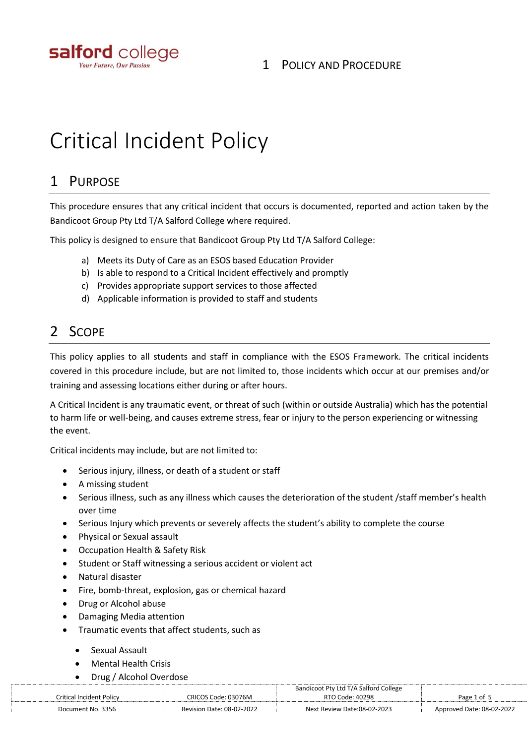

### 1 POLICY AND PROCEDURE

# Critical Incident Policy

## 1 PURPOSE

This procedure ensures that any critical incident that occurs is documented, reported and action taken by the Bandicoot Group Pty Ltd T/A Salford College where required.

This policy is designed to ensure that Bandicoot Group Pty Ltd T/A Salford College:

- a) Meets its Duty of Care as an ESOS based Education Provider
- b) Is able to respond to a Critical Incident effectively and promptly
- c) Provides appropriate support services to those affected
- d) Applicable information is provided to staff and students

## 2 SCOPE

This policy applies to all students and staff in compliance with the ESOS Framework. The critical incidents covered in this procedure include, but are not limited to, those incidents which occur at our premises and/or training and assessing locations either during or after hours.

A Critical Incident is any traumatic event, or threat of such (within or outside Australia) which has the potential to harm life or well-being, and causes extreme stress, fear or injury to the person experiencing or witnessing the event.

Critical incidents may include, but are not limited to:

- Serious injury, illness, or death of a student or staff
- A missing student
- Serious illness, such as any illness which causes the deterioration of the student /staff member's health over time
- Serious Injury which prevents or severely affects the student's ability to complete the course
- Physical or Sexual assault
- Occupation Health & Safety Risk
- Student or Staff witnessing a serious accident or violent act
- Natural disaster
- Fire, bomb-threat, explosion, gas or chemical hazard
- Drug or Alcohol abuse
- Damaging Media attention
- Traumatic events that affect students, such as
	- Sexual Assault
	- Mental Health Crisis
	- Drug / Alcohol Overdose

|                          |                                  | Bandicoot Pty Ltd T/A Salford College |                           |
|--------------------------|----------------------------------|---------------------------------------|---------------------------|
| Critical Incident Policy | CRICOS Code: 03076M              | RTO Code: 40298                       | Page 1 of 5               |
| Document No. 3356        | <b>Revision Date: 08-02-2022</b> | Next Review Date:08-02-2023           | Approved Date: 08-02-2022 |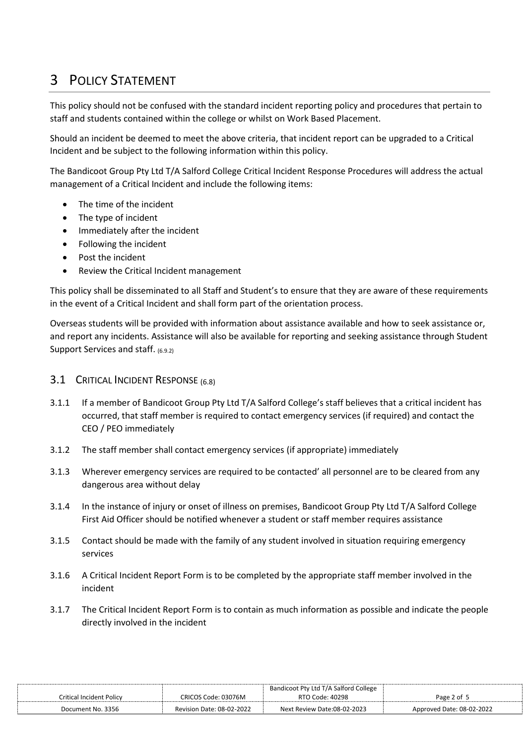# 3 POLICY STATEMENT

This policy should not be confused with the standard incident reporting policy and procedures that pertain to staff and students contained within the college or whilst on Work Based Placement.

Should an incident be deemed to meet the above criteria, that incident report can be upgraded to a Critical Incident and be subject to the following information within this policy.

The Bandicoot Group Pty Ltd T/A Salford College Critical Incident Response Procedures will address the actual management of a Critical Incident and include the following items:

- The time of the incident
- The type of incident
- Immediately after the incident
- Following the incident
- Post the incident
- Review the Critical Incident management

This policy shall be disseminated to all Staff and Student's to ensure that they are aware of these requirements in the event of a Critical Incident and shall form part of the orientation process.

Overseas students will be provided with information about assistance available and how to seek assistance or, and report any incidents. Assistance will also be available for reporting and seeking assistance through Student Support Services and staff. (6.9.2)

#### **3.1 CRITICAL INCIDENT RESPONSE** (6.8)

- 3.1.1 If a member of Bandicoot Group Pty Ltd T/A Salford College's staff believes that a critical incident has occurred, that staff member is required to contact emergency services (if required) and contact the CEO / PEO immediately
- 3.1.2 The staff member shall contact emergency services (if appropriate) immediately
- 3.1.3 Wherever emergency services are required to be contacted' all personnel are to be cleared from any dangerous area without delay
- 3.1.4 In the instance of injury or onset of illness on premises, Bandicoot Group Pty Ltd T/A Salford College First Aid Officer should be notified whenever a student or staff member requires assistance
- 3.1.5 Contact should be made with the family of any student involved in situation requiring emergency services
- 3.1.6 A Critical Incident Report Form is to be completed by the appropriate staff member involved in the incident
- 3.1.7 The Critical Incident Report Form is to contain as much information as possible and indicate the people directly involved in the incident

|                          |                           | Bandicoot Pty Ltd T/A Salford College |                           |
|--------------------------|---------------------------|---------------------------------------|---------------------------|
| Critical Incident Policy | CRICOS Code: 03076M       | RTO Code: 40298                       | Page 2 of 5               |
| Document No. 3356        | Revision Date: 08-02-2022 | Next Review Date:08-02-2023           | Approved Date: 08-02-2022 |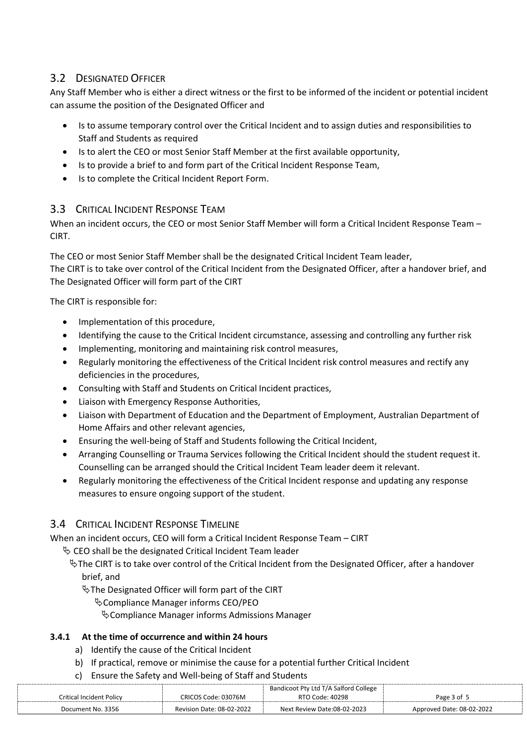### 3.2 DESIGNATED OFFICER

Any Staff Member who is either a direct witness or the first to be informed of the incident or potential incident can assume the position of the Designated Officer and

- Is to assume temporary control over the Critical Incident and to assign duties and responsibilities to Staff and Students as required
- Is to alert the CEO or most Senior Staff Member at the first available opportunity,
- Is to provide a brief to and form part of the Critical Incident Response Team,
- Is to complete the Critical Incident Report Form.

#### 3.3 CRITICAL INCIDENT RESPONSE TEAM

When an incident occurs, the CEO or most Senior Staff Member will form a Critical Incident Response Team -CIRT.

The CEO or most Senior Staff Member shall be the designated Critical Incident Team leader, The CIRT is to take over control of the Critical Incident from the Designated Officer, after a handover brief, and The Designated Officer will form part of the CIRT

The CIRT is responsible for:

- Implementation of this procedure,
- Identifying the cause to the Critical Incident circumstance, assessing and controlling any further risk
- Implementing, monitoring and maintaining risk control measures,
- Regularly monitoring the effectiveness of the Critical Incident risk control measures and rectify any deficiencies in the procedures,
- Consulting with Staff and Students on Critical Incident practices,
- Liaison with Emergency Response Authorities,
- Liaison with Department of Education and the Department of Employment, Australian Department of Home Affairs and other relevant agencies,
- Ensuring the well-being of Staff and Students following the Critical Incident,
- Arranging Counselling or Trauma Services following the Critical Incident should the student request it. Counselling can be arranged should the Critical Incident Team leader deem it relevant.
- Regularly monitoring the effectiveness of the Critical Incident response and updating any response measures to ensure ongoing support of the student.

#### 3.4 CRITICAL INCIDENT RESPONSE TIMELINE

When an incident occurs, CEO will form a Critical Incident Response Team – CIRT

- $\%$  CEO shall be the designated Critical Incident Team leader
	- $\frac{1}{2}$  The CIRT is to take over control of the Critical Incident from the Designated Officer, after a handover brief, and

 $\%$ The Designated Officer will form part of the CIRT

Compliance Manager informs CEO/PEO

Compliance Manager informs Admissions Manager

#### **3.4.1 At the time of occurrence and within 24 hours**

- a) Identify the cause of the Critical Incident
- b) If practical, remove or minimise the cause for a potential further Critical Incident
- c) Ensure the Safety and Well-being of Staff and Students

|                                 |                                  | Bandicoot Pty Ltd T/A Salford College |                           |
|---------------------------------|----------------------------------|---------------------------------------|---------------------------|
| <b>Critical Incident Policy</b> | CRICOS Code: 03076M              | RTO Code: 40298                       | Page 3 of 5               |
| Document No. 3356               | <b>Revision Date: 08-02-2022</b> | Next Review Date:08-02-2023           | Approved Date: 08-02-2022 |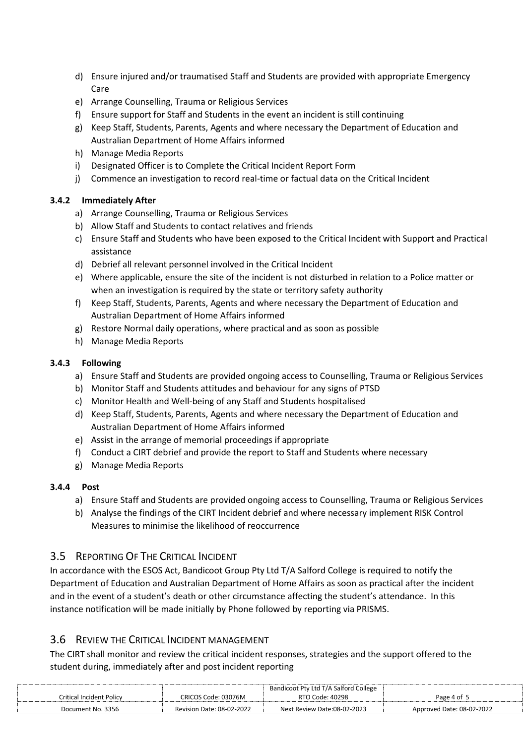- d) Ensure injured and/or traumatised Staff and Students are provided with appropriate Emergency Care
- e) Arrange Counselling, Trauma or Religious Services
- f) Ensure support for Staff and Students in the event an incident is still continuing
- g) Keep Staff, Students, Parents, Agents and where necessary the Department of Education and Australian Department of Home Affairs informed
- h) Manage Media Reports
- i) Designated Officer is to Complete the Critical Incident Report Form
- j) Commence an investigation to record real-time or factual data on the Critical Incident

#### **3.4.2 Immediately After**

- a) Arrange Counselling, Trauma or Religious Services
- b) Allow Staff and Students to contact relatives and friends
- c) Ensure Staff and Students who have been exposed to the Critical Incident with Support and Practical assistance
- d) Debrief all relevant personnel involved in the Critical Incident
- e) Where applicable, ensure the site of the incident is not disturbed in relation to a Police matter or when an investigation is required by the state or territory safety authority
- f) Keep Staff, Students, Parents, Agents and where necessary the Department of Education and Australian Department of Home Affairs informed
- g) Restore Normal daily operations, where practical and as soon as possible
- h) Manage Media Reports

#### **3.4.3 Following**

- a) Ensure Staff and Students are provided ongoing access to Counselling, Trauma or Religious Services
- b) Monitor Staff and Students attitudes and behaviour for any signs of PTSD
- c) Monitor Health and Well-being of any Staff and Students hospitalised
- d) Keep Staff, Students, Parents, Agents and where necessary the Department of Education and Australian Department of Home Affairs informed
- e) Assist in the arrange of memorial proceedings if appropriate
- f) Conduct a CIRT debrief and provide the report to Staff and Students where necessary
- g) Manage Media Reports

#### **3.4.4 Post**

- a) Ensure Staff and Students are provided ongoing access to Counselling, Trauma or Religious Services
- b) Analyse the findings of the CIRT Incident debrief and where necessary implement RISK Control Measures to minimise the likelihood of reoccurrence

#### 3.5 REPORTING OF THE CRITICAL INCIDENT

In accordance with the ESOS Act, Bandicoot Group Pty Ltd T/A Salford College is required to notify the Department of Education and Australian Department of Home Affairs as soon as practical after the incident and in the event of a student's death or other circumstance affecting the student's attendance. In this instance notification will be made initially by Phone followed by reporting via PRISMS.

#### 3.6 REVIEW THE CRITICAL INCIDENT MANAGEMENT

The CIRT shall monitor and review the critical incident responses, strategies and the support offered to the student during, immediately after and post incident reporting

|                          |                                  | Bandicoot Pty Ltd T/A Salford College |                           |
|--------------------------|----------------------------------|---------------------------------------|---------------------------|
| Critical Incident Policv | CRICOS Code: 03076M              | RTO Code: 40298                       | Page 4 of                 |
| Document No. 3356        | <b>Revision Date: 08-02-2022</b> | Next Review Date:08-02-2023           | Approved Date: 08-02-2022 |